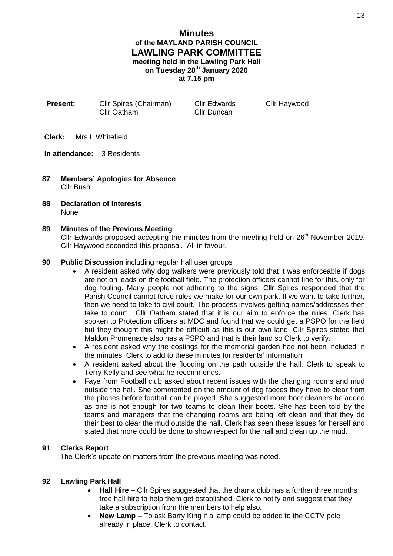| Present: | <b>CIIr Spires (Chairman)</b> |
|----------|-------------------------------|
|          | <b>Cllr Oatham</b>            |

**Cllr Edwards Cllr Haywood** Cllr Duncan

**Clerk:** Mrs L Whitefield

**In attendance:** 3 Residents

- **87 Members' Apologies for Absence** Cllr Bush
- **88 Declaration of Interests** None

## **89 Minutes of the Previous Meeting**

Cllr Edwards proposed accepting the minutes from the meeting held on 26<sup>th</sup> November 2019. Cllr Haywood seconded this proposal. All in favour.

## **90 Public Discussion** including regular hall user groups

- A resident asked why dog walkers were previously told that it was enforceable if dogs are not on leads on the football field. The protection officers cannot fine for this, only for dog fouling. Many people not adhering to the signs. Cllr Spires responded that the Parish Council cannot force rules we make for our own park. If we want to take further, then we need to take to civil court. The process involves getting names/addresses then take to court. Cllr Oatham stated that it is our aim to enforce the rules. Clerk has spoken to Protection officers at MDC and found that we could get a PSPO for the field but they thought this might be difficult as this is our own land. Cllr Spires stated that Maldon Promenade also has a PSPO and that is their land so Clerk to verify.
- A resident asked why the costings for the memorial garden had not been included in the minutes. Clerk to add to these minutes for residents' information.
- A resident asked about the flooding on the path outside the hall. Clerk to speak to Terry Kelly and see what he recommends.
- Faye from Football club asked about recent issues with the changing rooms and mud outside the hall. She commented on the amount of dog faeces they have to clear from the pitches before football can be played. She suggested more boot cleaners be added as one is not enough for two teams to clean their boots. She has been told by the teams and managers that the changing rooms are being left clean and that they do their best to clear the mud outside the hall. Clerk has seen these issues for herself and stated that more could be done to show respect for the hall and clean up the mud.

## **91 Clerks Report**

The Clerk's update on matters from the previous meeting was noted.

## **92 Lawling Park Hall**

- **Hall Hire** Cllr Spires suggested that the drama club has a further three months free hall hire to help them get established. Clerk to notify and suggest that they take a subscription from the members to help also.
- **New Lamp** To ask Barry King if a lamp could be added to the CCTV pole already in place. Clerk to contact.